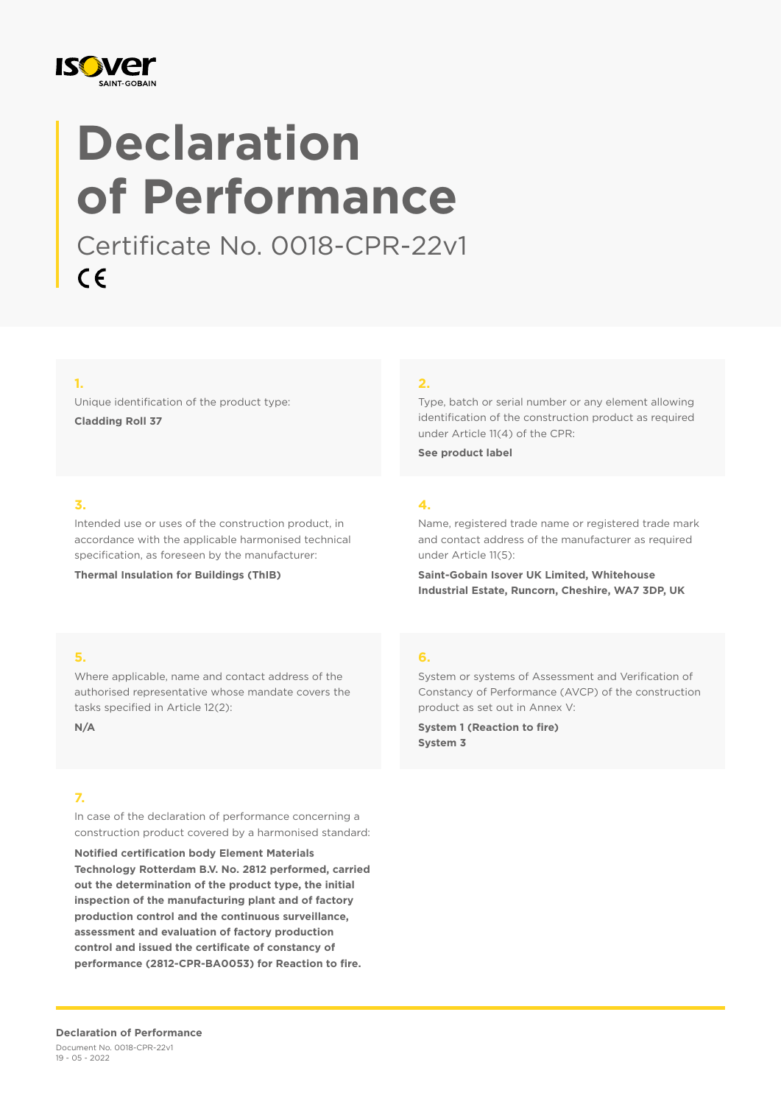

# **Declaration of Performance**

Certificate No. 0018-CPR-22v1  $C \in$ 

#### **1.**

Unique identification of the product type: **Cladding Roll 37**

#### **2.**

Type, batch or serial number or any element allowing identification of the construction product as required under Article 11(4) of the CPR:

**See product label**

#### **3.**

Intended use or uses of the construction product, in accordance with the applicable harmonised technical specification, as foreseen by the manufacturer:

**Thermal Insulation for Buildings (ThIB)**

### **4.**

Name, registered trade name or registered trade mark and contact address of the manufacturer as required under Article 11(5):

**Saint-Gobain Isover UK Limited, Whitehouse Industrial Estate, Runcorn, Cheshire, WA7 3DP, UK**

#### **5.**

Where applicable, name and contact address of the authorised representative whose mandate covers the tasks specified in Article 12(2):

**N/A**

#### **7.**

In case of the declaration of performance concerning a construction product covered by a harmonised standard:

**Notified certification body Element Materials Technology Rotterdam B.V. No. 2812 performed, carried out the determination of the product type, the initial inspection of the manufacturing plant and of factory production control and the continuous surveillance, assessment and evaluation of factory production control and issued the certificate of constancy of performance (2812-CPR-BA0053) for Reaction to fire.**

#### **6.**

System or systems of Assessment and Verification of Constancy of Performance (AVCP) of the construction product as set out in Annex V:

**System 1 (Reaction to fire) System 3**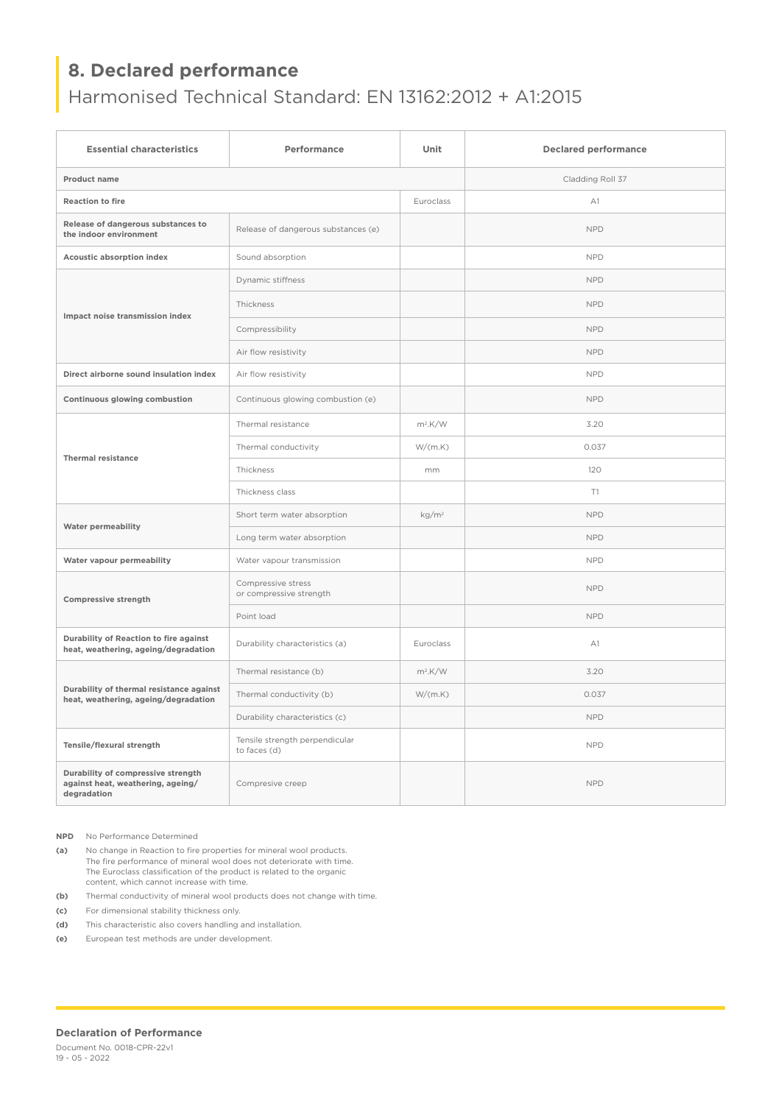## **8. Declared performance**

## Harmonised Technical Standard: EN 13162:2012 + A1:2015

| <b>Essential characteristics</b>                                                       | Performance                                    | Unit              | <b>Declared performance</b> |
|----------------------------------------------------------------------------------------|------------------------------------------------|-------------------|-----------------------------|
| Product name                                                                           |                                                |                   | Cladding Roll 37            |
| <b>Reaction to fire</b>                                                                |                                                | Euroclass         | A1                          |
| Release of dangerous substances to<br>the indoor environment                           | Release of dangerous substances (e)            |                   | <b>NPD</b>                  |
| Acoustic absorption index                                                              | Sound absorption                               |                   | <b>NPD</b>                  |
| Impact noise transmission index                                                        | Dynamic stiffness                              |                   | <b>NPD</b>                  |
|                                                                                        | Thickness                                      |                   | <b>NPD</b>                  |
|                                                                                        | Compressibility                                |                   | <b>NPD</b>                  |
|                                                                                        | Air flow resistivity                           |                   | <b>NPD</b>                  |
| Direct airborne sound insulation index                                                 | Air flow resistivity                           |                   | <b>NPD</b>                  |
| Continuous glowing combustion                                                          | Continuous glowing combustion (e)              |                   | <b>NPD</b>                  |
| <b>Thermal resistance</b>                                                              | Thermal resistance                             | $m^2$ .K/W        | 3.20                        |
|                                                                                        | Thermal conductivity                           | W/(m.K)           | 0.037                       |
|                                                                                        | Thickness                                      | mm                | 120                         |
|                                                                                        | Thickness class                                |                   | T1                          |
| <b>Water permeability</b>                                                              | Short term water absorption                    | kg/m <sup>2</sup> | <b>NPD</b>                  |
|                                                                                        | Long term water absorption                     |                   | <b>NPD</b>                  |
| Water vapour permeability                                                              | Water vapour transmission                      |                   | <b>NPD</b>                  |
| <b>Compressive strength</b>                                                            | Compressive stress<br>or compressive strength  |                   | <b>NPD</b>                  |
|                                                                                        | Point load                                     |                   | <b>NPD</b>                  |
| Durability of Reaction to fire against<br>heat, weathering, ageing/degradation         | Durability characteristics (a)                 | Euroclass         | A1                          |
| Durability of thermal resistance against<br>heat, weathering, ageing/degradation       | Thermal resistance (b)                         | $m^2$ .K/W        | 3.20                        |
|                                                                                        | Thermal conductivity (b)                       | W/(m.K)           | 0.037                       |
|                                                                                        | Durability characteristics (c)                 |                   | <b>NPD</b>                  |
| Tensile/flexural strength                                                              | Tensile strength perpendicular<br>to faces (d) |                   | <b>NPD</b>                  |
| Durability of compressive strength<br>against heat, weathering, ageing/<br>degradation | Compresive creep                               |                   | <b>NPD</b>                  |

**NPD** No Performance Determined

**(a)** No change in Reaction to fire properties for mineral wool products. The fire performance of mineral wool does not deteriorate with time. The Euroclass classification of the product is related to the organic content, which cannot increase with time.

**(b)** Thermal conductivity of mineral wool products does not change with time.

**(c)** For dimensional stability thickness only.

**(d)** This characteristic also covers handling and installation.

**(e)** European test methods are under development.

#### **Declaration of Performance**

Document No. 0018-CPR-22v1 19 - 05 - 2022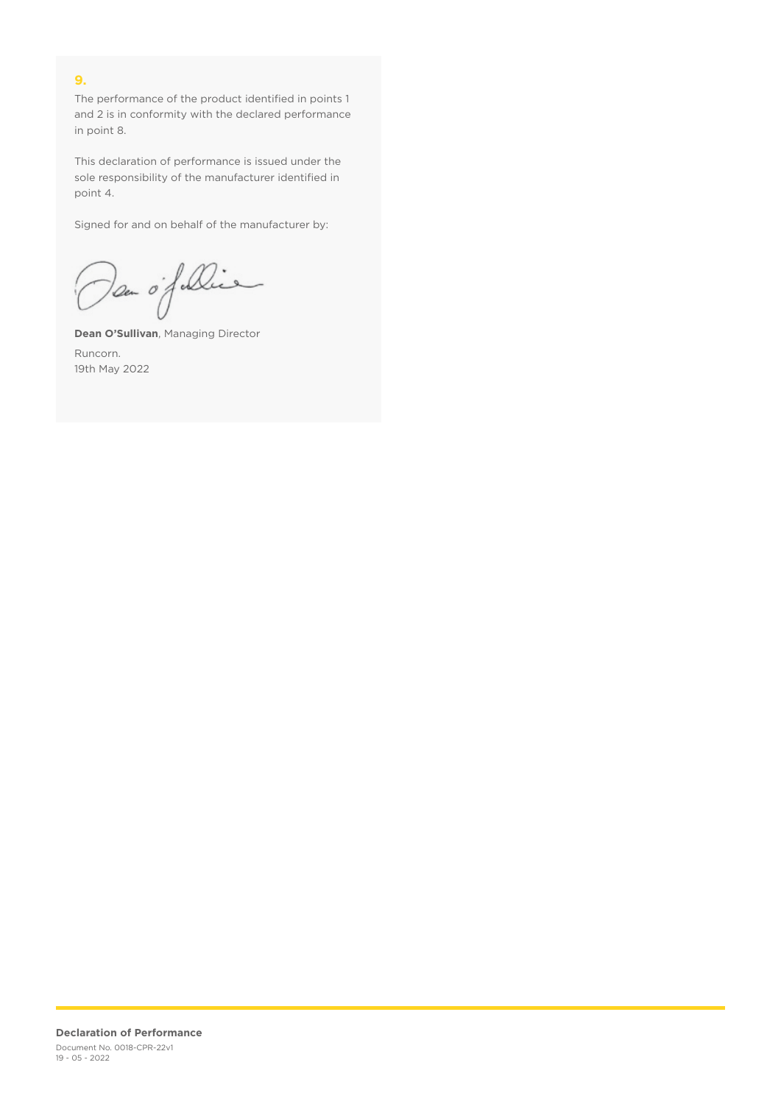#### **9.**

The performance of the product identified in points 1 and 2 is in conformity with the declared performance in point 8.

This declaration of performance is issued under the sole responsibility of the manufacturer identified in point 4.

Signed for and on behalf of the manufacturer by:

Dan of Die

**Dean O'Sullivan**, Managing Director Runcorn. 19th May 2022